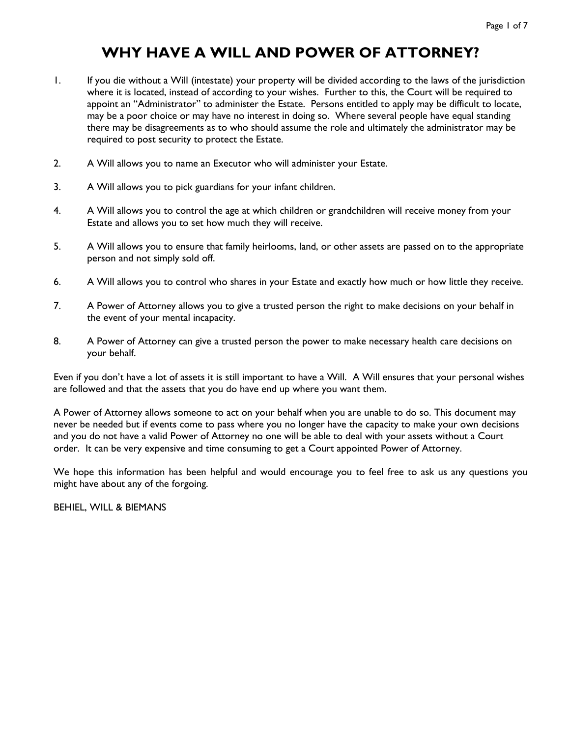# **WHY HAVE A WILL AND POWER OF ATTORNEY?**

- 1. If you die without a Will (intestate) your property will be divided according to the laws of the jurisdiction where it is located, instead of according to your wishes. Further to this, the Court will be required to appoint an "Administrator" to administer the Estate. Persons entitled to apply may be difficult to locate, may be a poor choice or may have no interest in doing so. Where several people have equal standing there may be disagreements as to who should assume the role and ultimately the administrator may be required to post security to protect the Estate.
- 2. A Will allows you to name an Executor who will administer your Estate.
- 3. A Will allows you to pick guardians for your infant children.
- 4. A Will allows you to control the age at which children or grandchildren will receive money from your Estate and allows you to set how much they will receive.
- 5. A Will allows you to ensure that family heirlooms, land, or other assets are passed on to the appropriate person and not simply sold off.
- 6. A Will allows you to control who shares in your Estate and exactly how much or how little they receive.
- 7. A Power of Attorney allows you to give a trusted person the right to make decisions on your behalf in the event of your mental incapacity.
- 8. A Power of Attorney can give a trusted person the power to make necessary health care decisions on your behalf.

Even if you don't have a lot of assets it is still important to have a Will. A Will ensures that your personal wishes are followed and that the assets that you do have end up where you want them.

A Power of Attorney allows someone to act on your behalf when you are unable to do so. This document may never be needed but if events come to pass where you no longer have the capacity to make your own decisions and you do not have a valid Power of Attorney no one will be able to deal with your assets without a Court order. It can be very expensive and time consuming to get a Court appointed Power of Attorney.

We hope this information has been helpful and would encourage you to feel free to ask us any questions you might have about any of the forgoing.

BEHIEL, WILL & BIEMANS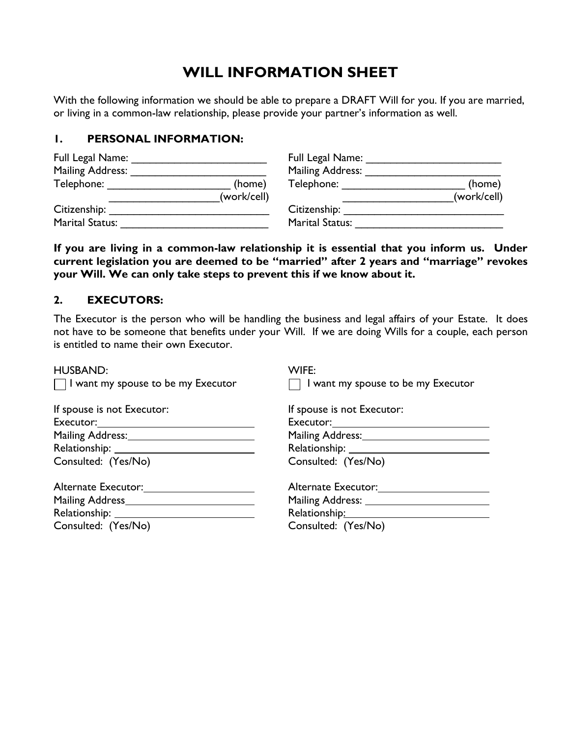# **WILL INFORMATION SHEET**

With the following information we should be able to prepare a DRAFT Will for you. If you are married, or living in a common-law relationship, please provide your partner's information as well.

#### **1. PERSONAL INFORMATION:**

| Full Legal Name:        |             | Full Legal Name:       |             |
|-------------------------|-------------|------------------------|-------------|
| <b>Mailing Address:</b> |             | Mailing Address:       |             |
| Telephone:              | (home)      | Telephone:             | (home)      |
|                         | (work/cell) |                        | (work/cell) |
| Citizenship:            |             | Citizenship:           |             |
| <b>Marital Status:</b>  |             | <b>Marital Status:</b> |             |

**If you are living in a common-law relationship it is essential that you inform us. Under current legislation you are deemed to be "married" after 2 years and "marriage" revokes your Will. We can only take steps to prevent this if we know about it.** 

### **2. EXECUTORS:**

The Executor is the person who will be handling the business and legal affairs of your Estate. It does not have to be someone that benefits under your Will. If we are doing Wills for a couple, each person is entitled to name their own Executor.

| <b>HUSBAND:</b>                           | WIFE:                                     |
|-------------------------------------------|-------------------------------------------|
| $\Box$ I want my spouse to be my Executor | $\Box$ I want my spouse to be my Executor |
| If spouse is not Executor:                | If spouse is not Executor:                |
|                                           |                                           |
| Mailing Address: Mailing Address:         | Mailing Address: Mailing Address:         |
|                                           |                                           |
| Consulted: (Yes/No)                       | Consulted: (Yes/No)                       |
| Alternate Executor:                       | Alternate Executor: 1997                  |
|                                           |                                           |
|                                           | Relationship: Nelationship:               |
| Consulted: (Yes/No)                       | Consulted: (Yes/No)                       |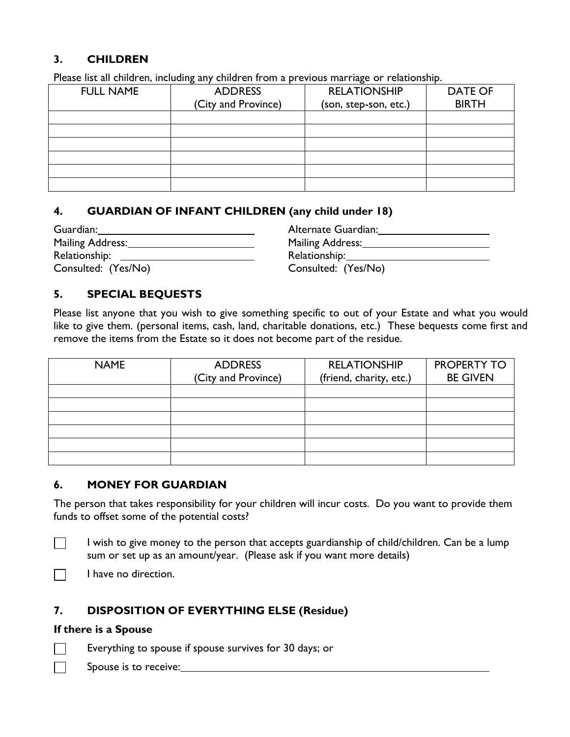# **3. CHILDREN**

Please list all children, including any children from a previous marriage or relationship.

| <b>FULL NAME</b> | <b>ADDRESS</b>      | <b>RELATIONSHIP</b>   | <b>DATE OF</b> |
|------------------|---------------------|-----------------------|----------------|
|                  | (City and Province) | (son, step-son, etc.) | <b>BIRTH</b>   |
|                  |                     |                       |                |
|                  |                     |                       |                |
|                  |                     |                       |                |
|                  |                     |                       |                |
|                  |                     |                       |                |
|                  |                     |                       |                |

# **4. GUARDIAN OF INFANT CHILDREN (any child under 18)**

| Guardian:           | Alternate Guardian: |
|---------------------|---------------------|
| Mailing Address:    | Mailing Address:    |
| Relationship:       | Relationship:       |
| Consulted: (Yes/No) | Consulted: (Yes/No) |

# **5. SPECIAL BEQUESTS**

Please list anyone that you wish to give something specific to out of your Estate and what you would like to give them. (personal items, cash, land, charitable donations, etc.) These bequests come first and remove the items from the Estate so it does not become part of the residue.

| <b>NAME</b> | <b>ADDRESS</b><br>(City and Province) | <b>RELATIONSHIP</b><br>(friend, charity, etc.) | <b>PROPERTY TO</b><br><b>BE GIVEN</b> |
|-------------|---------------------------------------|------------------------------------------------|---------------------------------------|
|             |                                       |                                                |                                       |
|             |                                       |                                                |                                       |
|             |                                       |                                                |                                       |
|             |                                       |                                                |                                       |
|             |                                       |                                                |                                       |
|             |                                       |                                                |                                       |

# **6. MONEY FOR GUARDIAN**

The person that takes responsibility for your children will incur costs. Do you want to provide them funds to offset some of the potential costs?

 $\Box$ 

I wish to give money to the person that accepts guardianship of child/children. Can be a lump sum or set up as an amount/year. (Please ask if you want more details)

I have no direction.  $\Box$ 

# **7. DISPOSITION OF EVERYTHING ELSE (Residue)**

#### **If there is a Spouse**

Everything to spouse if spouse survives for 30 days; or  $\Box$ 

Spouse is to receive: $\Box$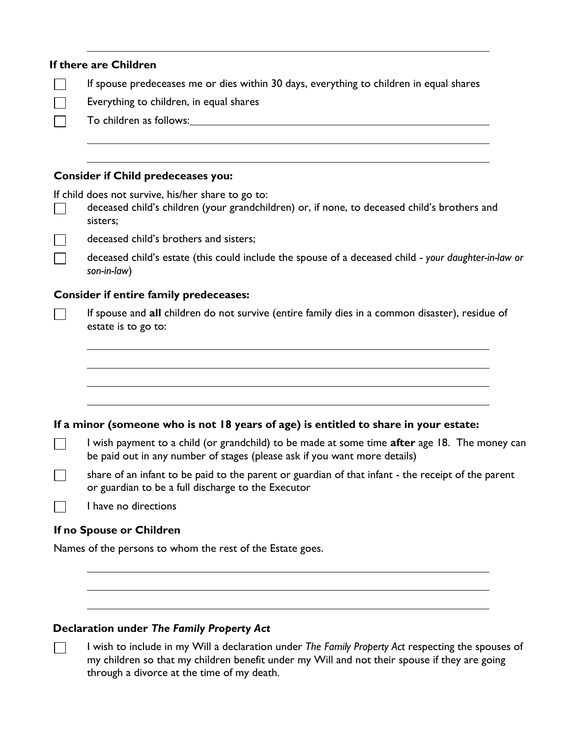$\Box$ 

 $\Box$  $\Box$ 

 $\Box$ 

 $\Box$ 

If spouse predeceases me or dies within 30 days, everything to children in equal shares

П Everything to children, in equal shares

To children as follows:

#### **Consider if Child predeceases you:**

If child does not survive, his/her share to go to:

deceased child's children (your grandchildren) or, if none, to deceased child's brothers and sisters;

deceased child's brothers and sisters;

deceased child's estate (this could include the spouse of a deceased child - *your daughter-in-law or son-in-law*)

#### **Consider if entire family predeceases:**

If spouse and **all** children do not survive (entire family dies in a common disaster), residue of estate is to go to:

#### **If a minor (someone who is not 18 years of age) is entitled to share in your estate:**

I wish payment to a child (or grandchild) to be made at some time **after** age 18. The money can  $\Box$ be paid out in any number of stages (please ask if you want more details)

share of an infant to be paid to the parent or guardian of that infant - the receipt of the parent  $\Box$ or guardian to be a full discharge to the Executor

I have no directions

#### **If no Spouse or Children**

Names of the persons to whom the rest of the Estate goes.

#### **Declaration under** *The Family Property Act*

I wish to include in my Will a declaration under *The Family Property Act* respecting the spouses of my children so that my children benefit under my Will and not their spouse if they are going through a divorce at the time of my death.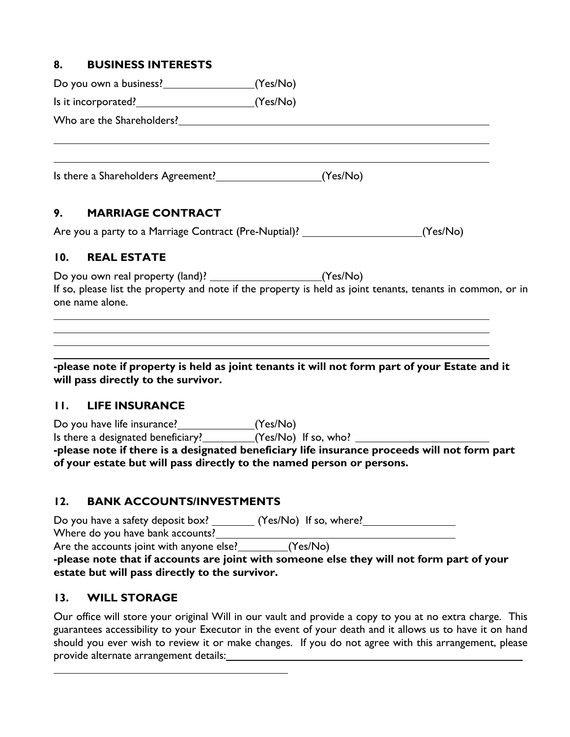# **8. BUSINESS INTERESTS**

Do you own a business? (Yes/No)

Is it incorporated? (Yes/No)

Who are the Shareholders?

Is there a Shareholders Agreement? (Yes/No)

# **9. MARRIAGE CONTRACT**

Are you a party to a Marriage Contract (Pre-Nuptial)? \_\_\_\_\_\_\_\_\_\_\_\_\_\_\_\_\_\_\_\_\_\_\_\_\_ (Yes/No)

### **10. REAL ESTATE**

Do you own real property (land)? \_\_\_\_\_\_\_\_\_\_\_\_\_\_\_\_\_\_\_\_\_\_\_\_\_\_\_(Yes/No) If so, please list the property and note if the property is held as joint tenants, tenants in common, or in one name alone.

**-please note if property is held as joint tenants it will not form part of your Estate and it will pass directly to the survivor.**

# **11. LIFE INSURANCE**

Do you have life insurance? (Yes/No) Is there a designated beneficiary?\_\_\_\_\_\_\_\_\_(Yes/No) If so, who? **-please note if there is a designated beneficiary life insurance proceeds will not form part of your estate but will pass directly to the named person or persons.**

# **12. BANK ACCOUNTS/INVESTMENTS**

Do you have a safety deposit box? \_\_\_\_\_\_\_ (Yes/No) If so, where? \_\_\_\_\_\_\_\_\_\_\_\_\_\_\_ Where do you have bank accounts? Are the accounts joint with anyone else?  $\sqrt{(Yes/No)}$ 

**-please note that if accounts are joint with someone else they will not form part of your estate but will pass directly to the survivor.**

# **13. WILL STORAGE**

Our office will store your original Will in our vault and provide a copy to you at no extra charge. This guarantees accessibility to your Executor in the event of your death and it allows us to have it on hand should you ever wish to review it or make changes. If you do not agree with this arrangement, please provide alternate arrangement details: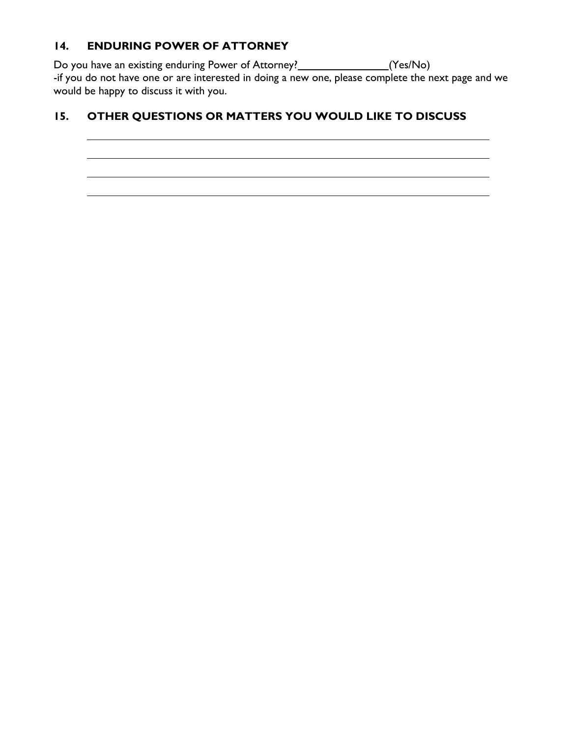# **14. ENDURING POWER OF ATTORNEY**

Do you have an existing enduring Power of Attorney? [1991] [Yes/No] -if you do not have one or are interested in doing a new one, please complete the next page and we would be happy to discuss it with you.

# **15. OTHER QUESTIONS OR MATTERS YOU WOULD LIKE TO DISCUSS**